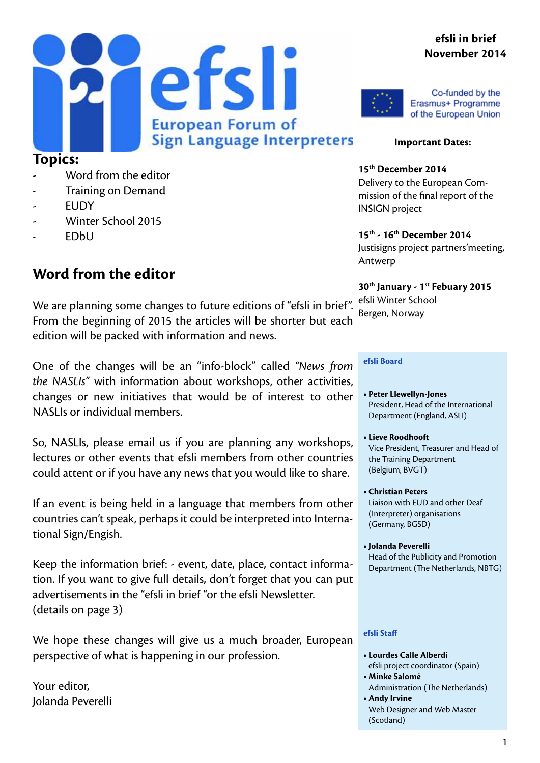#### **efsli in brief November 2014**





Co-funded by the Erasmus+ Programme of the European Union

#### **Important Dates:**

**15th December 2014** Delivery to the European Commission of the final report of the INSIGN project

**15th - 16th December 2014** Justisigns project partners'meeting, Antwerp

**30th January - 1st Febuary 2015** efsli Winter School Bergen, Norway

#### **efsli Board**

- **• Peter Llewellyn-Jones** President, Head of the International Department (England, ASLI)
- **• Lieve Roodhooft** Vice President, Treasurer and Head of the Training Department (Belgium, BVGT)
- **• Christian Peters**  Liaison with EUD and other Deaf (Interpreter) organisations (Germany, BGSD)
- **• Jolanda Peverelli** Head of the Publicity and Promotion Department (The Netherlands, NBTG)

#### **efsli Staff**

- **• Lourdes Calle Alberdi** efsli project coordinator (Spain)
- **• Minke Salomé**
- Administration (The Netherlands) **• Andy Irvine**
- Web Designer and Web Master (Scotland)

#### **Topics:**

- Word from the editor
- Training on Demand
- **FUDY**
- Winter School 2015
- EDbU

#### **Word from the editor**

We are planning some changes to future editions of "efsli in brief". From the beginning of 2015 the articles will be shorter but each edition will be packed with information and news.

One of the changes will be an "info-block" called *"News from the NASLIs"* with information about workshops, other activities, changes or new initiatives that would be of interest to other NASLIs or individual members.

So, NASLIs, please email us if you are planning any workshops, lectures or other events that efsli members from other countries could attent or if you have any news that you would like to share.

If an event is being held in a language that members from other countries can't speak, perhaps it could be interpreted into International Sign/Engish.

Keep the information brief: - event, date, place, contact information. If you want to give full details, don't forget that you can put advertisements in the "efsli in brief "or the efsli Newsletter. (details on page 3)

We hope these changes will give us a much broader, European perspective of what is happening in our profession.

Your editor, Jolanda Peverelli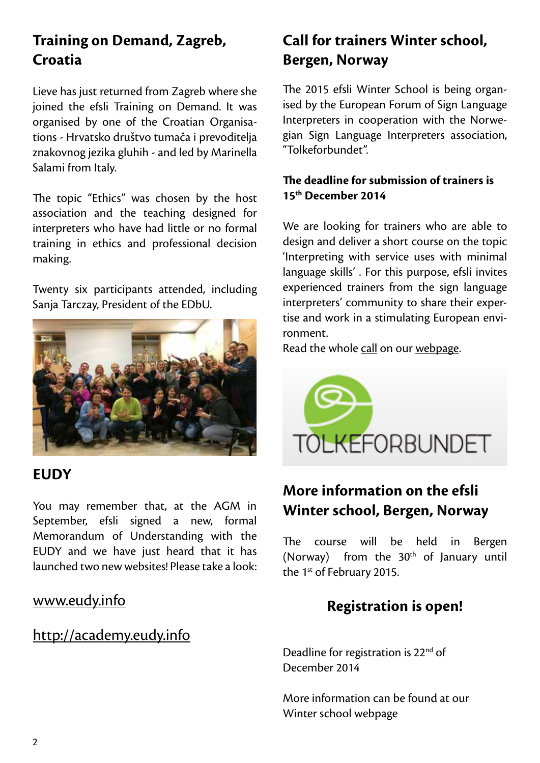# **Training on Demand, Zagreb, Croatia**

Lieve has just returned from Zagreb where she joined the efsli Training on Demand. It was organised by one of the Croatian Organisations - Hrvatsko društvo tumača i prevoditelja znakovnog jezika gluhih - and led by Marinella Salami from Italy.

The topic "Ethics" was chosen by the host association and the teaching designed for interpreters who have had little or no formal training in ethics and professional decision making.

Twenty six participants attended, including Sanja Tarczay, President of the EDbU.



#### **EUDY**

You may remember that, at the AGM in September, efsli signed a new, formal Memorandum of Understanding with the EUDY and we have just heard that it has launched two new websites! Please take a look:

#### [www.eudy.info](www.eudy.info )

#### [http://academy.eudy.info](http://academy.eudy.info )

# **Call for trainers Winter school, Bergen, Norway**

The 2015 efsli Winter School is being organised by the European Forum of Sign Language Interpreters in cooperation with the Norwegian Sign Language Interpreters association, "Tolkeforbundet".

#### **The deadline for submission of trainers is 15th December 2014**

We are looking for trainers who are able to design and deliver a short course on the topic 'Interpreting with service uses with minimal language skills' . For this purpose, efsli invites experienced trainers from the sign language interpreters' community to share their expertise and work in a stimulating European environment.

Read the whole [call](http://efsli.org/call-for-trainers/) on our [webpage](http://efsli.org/call-for-trainers/).



## **More information on the efsli Winter school, Bergen, Norway**

The course will be held in Bergen (Norway) from the  $30<sup>th</sup>$  of January until the 1<sup>st</sup> of February 2015.

### **Registration is open!**

Deadline for registration is 22<sup>nd</sup> of December 2014

More information can be found at our [Winter school webpage](http://efsli.org/events/efsli-schools/coming/winter-school-2015/)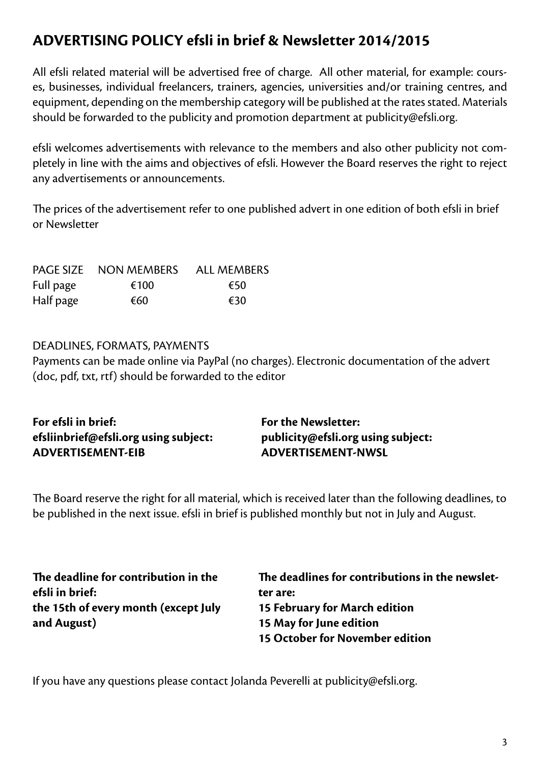## **ADVERTISING POLICY efsli in brief & Newsletter 2014/2015**

All efsli related material will be advertised free of charge. All other material, for example: courses, businesses, individual freelancers, trainers, agencies, universities and/or training centres, and equipment, depending on the membership category will be published at the rates stated. Materials should be forwarded to the publicity and promotion department at publicity@efsli.org.

efsli welcomes advertisements with relevance to the members and also other publicity not completely in line with the aims and objectives of efsli. However the Board reserves the right to reject any advertisements or announcements.

The prices of the advertisement refer to one published advert in one edition of both efsli in brief or Newsletter

|           | PAGE SIZE NON MEMBERS | <b>ALL MEMBERS</b> |
|-----------|-----------------------|--------------------|
| Full page | €100                  | €50                |
| Half page | €60                   | €30                |

#### DEADLINES, FORMATS, PAYMENTS

Payments can be made online via PayPal (no charges). Electronic documentation of the advert (doc, pdf, txt, rtf) should be forwarded to the editor

| For efsli in brief:                   | <b>For the Newsletter:</b>         |
|---------------------------------------|------------------------------------|
| efsliinbrief@efsli.org using subject: | publicity@efsli.org using subject: |
| <b>ADVERTISEMENT-EIB</b>              | <b>ADVERTISEMENT-NWSL</b>          |

The Board reserve the right for all material, which is received later than the following deadlines, to be published in the next issue. efsli in brief is published monthly but not in July and August.

| The deadline for contribution in the | The deadlines for contributions in the newslet- |
|--------------------------------------|-------------------------------------------------|
| efsli in brief:                      | ter are:                                        |
| the 15th of every month (except July | 15 February for March edition                   |
| and August)                          | 15 May for June edition                         |
|                                      | 15 October for November edition                 |

If you have any questions please contact Jolanda Peverelli at publicity@efsli.org.